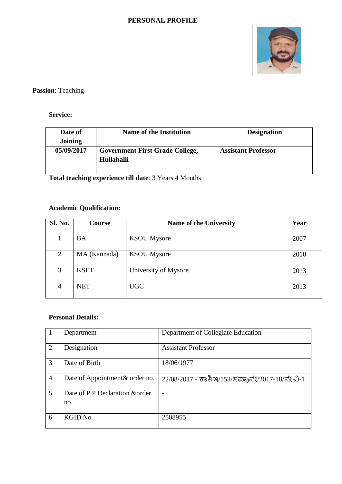#### **PERSONAL PROFILE**



# **Passion**: Teaching

### **Service:**

| Date of    | <b>Name of the Institution</b>         | <b>Designation</b>         |
|------------|----------------------------------------|----------------------------|
| Joining    |                                        |                            |
| 05/09/2017 | <b>Government First Grade College,</b> | <b>Assistant Professor</b> |
|            | Hullahalli                             |                            |
|            |                                        |                            |

**Total teaching experience till date**: 3 Years 4 Months

# **Academic Qualification:**

| Sl. No.        | <b>Course</b> | <b>Name of the University</b> | Year |
|----------------|---------------|-------------------------------|------|
|                | <b>BA</b>     | <b>KSOU</b> Mysore            | 2007 |
| $\overline{2}$ | MA (Kannada)  | <b>KSOU</b> Mysore            | 2010 |
| 3              | <b>KSET</b>   | University of Mysore          | 2013 |
| $\overline{4}$ | <b>NET</b>    | <b>UGC</b>                    | 2013 |

#### **Personal Details:**

|                | Department                             | Department of Collegiate Education            |
|----------------|----------------------------------------|-----------------------------------------------|
| 2              | Designation                            | <b>Assistant Professor</b>                    |
| 3              | Date of Birth                          | 18/06/1977                                    |
| $\overline{4}$ | Date of Appointment & order no.        | 22/08/2017 - ಕಾಶಿಇ/153/ಸಪ್ರಾನೇ/2017-18/ನೇವಿ-1 |
| 5              | Date of P.P Declaration & order<br>no. |                                               |
| 6              | <b>KGID No</b>                         | 2508955                                       |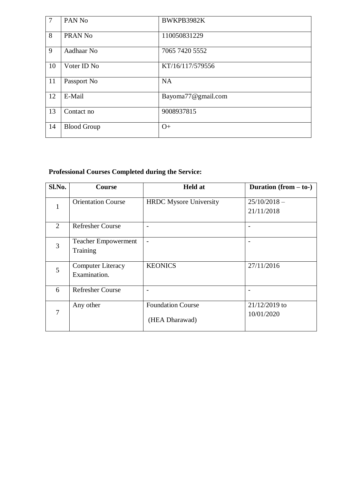| $\overline{7}$ | PAN <sub>No</sub>  | BWKPB3982K         |
|----------------|--------------------|--------------------|
| 8              | PRAN <sub>No</sub> | 110050831229       |
| 9              | Aadhaar No         | 7065 7420 5552     |
| 10             | Voter ID No        | KT/16/117/579556   |
| 11             | Passport No        | <b>NA</b>          |
| 12             | E-Mail             | Bayoma77@gmail.com |
| 13             | Contact no         | 9008937815         |
| 14             | <b>Blood Group</b> | $O+$               |

# **Professional Courses Completed during the Service:**

| Sl.No. | <b>Course</b>                            | <b>Held at</b>                             | Duration $(from - to-)$       |
|--------|------------------------------------------|--------------------------------------------|-------------------------------|
| 1      | <b>Orientation Course</b>                | <b>HRDC</b> Mysore University              | $25/10/2018 -$<br>21/11/2018  |
| 2      | <b>Refresher Course</b>                  | $\overline{a}$                             | -                             |
| 3      | <b>Teacher Empowerment</b><br>Training   | $\overline{\phantom{0}}$                   |                               |
| 5      | <b>Computer Literacy</b><br>Examination. | <b>KEONICS</b>                             | 27/11/2016                    |
| 6      | <b>Refresher Course</b>                  |                                            |                               |
| 7      | Any other                                | <b>Foundation Course</b><br>(HEA Dharawad) | $21/12/2019$ to<br>10/01/2020 |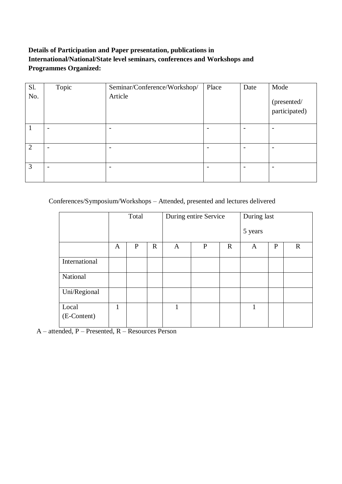## **Details of Participation and Paper presentation, publications in International/National/State level seminars, conferences and Workshops and Programmes Organized:**

| Sl. | Topic                    | Seminar/Conference/Workshop/ | Place | Date | Mode                         |
|-----|--------------------------|------------------------------|-------|------|------------------------------|
| No. |                          | Article                      |       |      | (presented/<br>participated) |
|     | $\overline{\phantom{0}}$ | $\overline{\phantom{0}}$     |       |      | $\qquad \qquad$              |
| 2   | $\overline{\phantom{0}}$ |                              |       |      | $\overline{\phantom{0}}$     |
| 3   | $\overline{\phantom{0}}$ |                              |       |      | $\overline{\phantom{0}}$     |

Conferences/Symposium/Workshops – Attended, presented and lectures delivered

|                      | Total |              |             | During entire Service |              |             | During last |             |             |
|----------------------|-------|--------------|-------------|-----------------------|--------------|-------------|-------------|-------------|-------------|
|                      |       |              |             |                       |              |             | 5 years     |             |             |
|                      | A     | $\mathbf{P}$ | $\mathbf R$ | A                     | $\mathbf{P}$ | $\mathbf R$ | A           | $\mathbf P$ | $\mathbf R$ |
| International        |       |              |             |                       |              |             |             |             |             |
| National             |       |              |             |                       |              |             |             |             |             |
| Uni/Regional         |       |              |             |                       |              |             |             |             |             |
| Local<br>(E-Content) | 1     |              |             | 1                     |              |             | 1           |             |             |

A – attended, P – Presented, R – Resources Person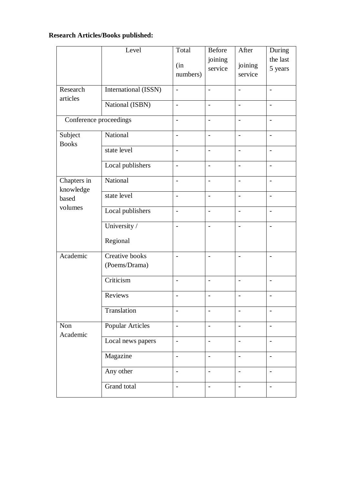# **Research Articles/Books published:**

|                          | Level                           | Total                    | Before                   | After                    | During                   |
|--------------------------|---------------------------------|--------------------------|--------------------------|--------------------------|--------------------------|
|                          |                                 | (in)<br>numbers)         | joining<br>service       | joining<br>service       | the last<br>5 years      |
| Research<br>articles     | International (ISSN)            | $\overline{a}$           | $\sim$                   | $\overline{a}$           | $\overline{\phantom{a}}$ |
|                          | National (ISBN)                 | $\overline{a}$           | $\overline{a}$           |                          | $\overline{a}$           |
| Conference proceedings   |                                 | $\overline{a}$           | $\sim$                   | $\overline{a}$           | $\overline{\phantom{a}}$ |
| Subject<br><b>Books</b>  | National                        | $\overline{\phantom{a}}$ | $\overline{\phantom{a}}$ | $\overline{\phantom{a}}$ | $\overline{\phantom{a}}$ |
|                          | state level                     | $\overline{a}$           | $\overline{a}$           | $\overline{\phantom{0}}$ | $\blacksquare$           |
|                          | Local publishers                | $\overline{\phantom{0}}$ | $\overline{\phantom{a}}$ | $\overline{a}$           | $\overline{\phantom{m}}$ |
| Chapters in<br>knowledge | National                        | $\overline{\phantom{0}}$ | $\overline{a}$           | $\overline{a}$           | $\blacksquare$           |
| based                    | state level                     | $\blacksquare$           | $\sim$                   | $\overline{a}$           | $\overline{\phantom{a}}$ |
| volumes                  | Local publishers                | $\overline{\phantom{a}}$ | $\overline{\phantom{a}}$ | $\overline{\phantom{a}}$ | $\overline{\phantom{a}}$ |
|                          | University /                    | $\overline{\phantom{a}}$ | $\overline{\phantom{a}}$ | $\overline{\phantom{0}}$ | $\overline{\phantom{a}}$ |
|                          | Regional                        |                          |                          |                          |                          |
| Academic                 | Creative books<br>(Poems/Drama) | $\overline{a}$           | $\blacksquare$           | $\overline{\phantom{0}}$ |                          |
|                          | Criticism                       | $\overline{\phantom{0}}$ | $\overline{a}$           | $\overline{a}$           | $\blacksquare$           |
|                          | Reviews                         | $\qquad \qquad -$        | $\overline{\phantom{a}}$ | $\overline{\phantom{a}}$ | $\qquad \qquad -$        |
|                          | Translation                     |                          |                          |                          |                          |
| Non<br>Academic          | <b>Popular Articles</b>         | $\overline{a}$           | $\overline{a}$           | $\overline{a}$           | $\overline{a}$           |
|                          | Local news papers               | $\overline{\phantom{0}}$ | $\overline{\phantom{a}}$ | $\overline{\phantom{a}}$ | $\overline{\phantom{a}}$ |
|                          | Magazine                        | $\overline{\phantom{0}}$ | $\blacksquare$           |                          | $\overline{\phantom{a}}$ |
|                          | Any other                       | $\overline{\phantom{a}}$ | $\overline{\phantom{a}}$ | $\overline{\phantom{0}}$ | $\qquad \qquad -$        |
|                          | Grand total                     | $\overline{\phantom{0}}$ | $\overline{\phantom{a}}$ | $\overline{a}$           | $\overline{\phantom{a}}$ |